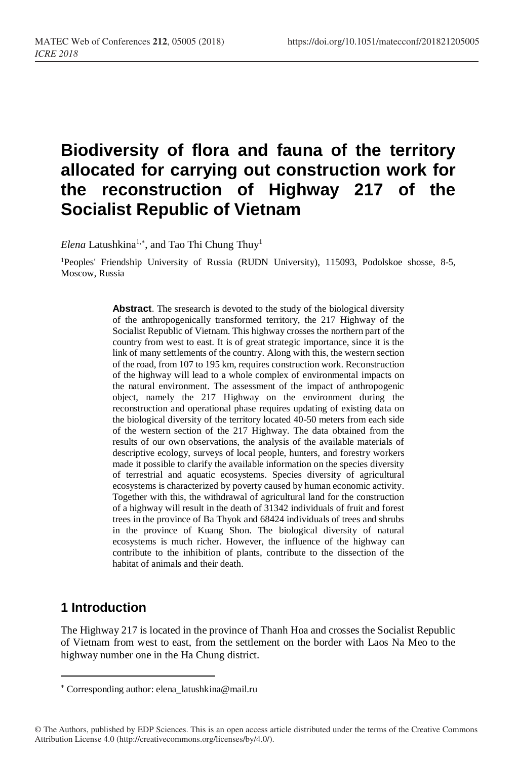# **Biodiversity of flora and fauna of the territory allocated for carrying out construction work for the reconstruction of Highway 217 of the Socialist Republic of Vietnam**

Elena Latushkina<sup>1,\*</sup>, and Tao Thi Chung Thuy<sup>1</sup>

<sup>1</sup>Peoples' Friendship University of Russia (RUDN University), 115093, Podolskoe shosse, 8-5, Moscow, Russia

> **Abstract**. The sresearch is devoted to the study of the biological diversity of the anthropogenically transformed territory, the 217 Highway of the Socialist Republic of Vietnam. This highway crosses the northern part of the country from west to east. It is of great strategic importance, since it is the link of many settlements of the country. Along with this, the western section of the road, from 107 to 195 km, requires construction work. Reconstruction of the highway will lead to a whole complex of environmental impacts on the natural environment. The assessment of the impact of anthropogenic object, namely the 217 Highway on the environment during the reconstruction and operational phase requires updating of existing data on the biological diversity of the territory located 40-50 meters from each side of the western section of the 217 Highway. The data obtained from the results of our own observations, the analysis of the available materials of descriptive ecology, surveys of local people, hunters, and forestry workers made it possible to clarify the available information on the species diversity of terrestrial and aquatic ecosystems. Species diversity of agricultural ecosystems is characterized by poverty caused by human economic activity. Together with this, the withdrawal of agricultural land for the construction of a highway will result in the death of 31342 individuals of fruit and forest trees in the province of Ba Thyok and 68424 individuals of trees and shrubs in the province of Kuang Shon. The biological diversity of natural ecosystems is much richer. However, the influence of the highway can contribute to the inhibition of plants, contribute to the dissection of the habitat of animals and their death.

## **1 Introduction**

l

The Highway 217 is located in the province of Thanh Hoa and crosses the Socialist Republic of Vietnam from west to east, from the settlement on the border with Laos Na Meo to the highway number one in the Ha Chung district.

Corresponding author: elena\_latushkina@mail.ru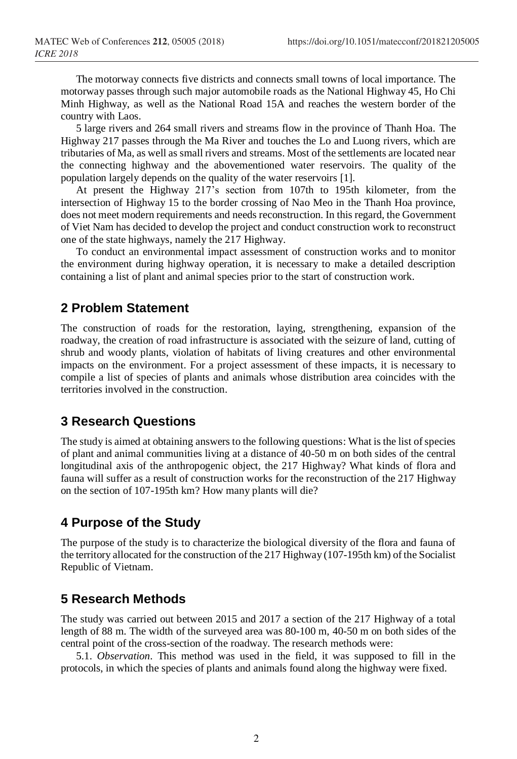The motorway connects five districts and connects small towns of local importance. The motorway passes through such major automobile roads as the National Highway 45, Ho Chi Minh Highway, as well as the National Road 15A and reaches the western border of the country with Laos.

5 large rivers and 264 small rivers and streams flow in the province of Thanh Hoa. The Highway 217 passes through the Ma River and touches the Lo and Luong rivers, which are tributaries of Ma, as well as small rivers and streams. Most of the settlements are located near the connecting highway and the abovementioned water reservoirs. The quality of the population largely depends on the quality of the water reservoirs [1].

At present the Highway 217's section from 107th to 195th kilometer, from the intersection of Highway 15 to the border crossing of Nao Meo in the Thanh Hoa province, does not meet modern requirements and needs reconstruction. In this regard, the Government of Viet Nam has decided to develop the project and conduct construction work to reconstruct one of the state highways, namely the 217 Highway.

To conduct an environmental impact assessment of construction works and to monitor the environment during highway operation, it is necessary to make a detailed description containing a list of plant and animal species prior to the start of construction work.

#### **2 Problem Statement**

The construction of roads for the restoration, laying, strengthening, expansion of the roadway, the creation of road infrastructure is associated with the seizure of land, cutting of shrub and woody plants, violation of habitats of living creatures and other environmental impacts on the environment. For a project assessment of these impacts, it is necessary to compile a list of species of plants and animals whose distribution area coincides with the territories involved in the construction.

#### **3 Research Questions**

The study is aimed at obtaining answers to the following questions: What is the list of species of plant and animal communities living at a distance of 40-50 m on both sides of the central longitudinal axis of the anthropogenic object, the 217 Highway? What kinds of flora and fauna will suffer as a result of construction works for the reconstruction of the 217 Highway on the section of 107-195th km? How many plants will die?

## **4 Purpose of the Study**

The purpose of the study is to characterize the biological diversity of the flora and fauna of the territory allocated for the construction of the 217 Highway (107-195th km) of the Socialist Republic of Vietnam.

## **5 Research Methods**

The study was carried out between 2015 and 2017 a section of the 217 Highway of a total length of 88 m. The width of the surveyed area was 80-100 m, 40-50 m on both sides of the central point of the cross-section of the roadway. The research methods were:

5.1. *Observation*. This method was used in the field, it was supposed to fill in the protocols, in which the species of plants and animals found along the highway were fixed.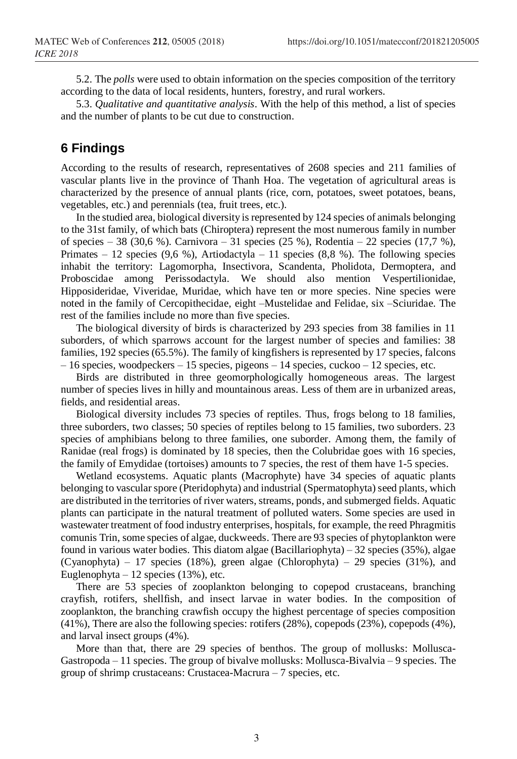5.2. The *polls* were used to obtain information on the species composition of the territory according to the data of local residents, hunters, forestry, and rural workers.

5.3. *Qualitative and quantitative analysis*. With the help of this method, a list of species and the number of plants to be cut due to construction.

## **6 Findings**

According to the results of research, representatives of 2608 species and 211 families of vascular plants live in the province of Thanh Hoa. The vegetation of agricultural areas is characterized by the presence of annual plants (rice, corn, potatoes, sweet potatoes, beans, vegetables, etc.) and perennials (tea, fruit trees, etc.).

In the studied area, biological diversity is represented by 124 species of animals belonging to the 31st family, of which bats (Chiroptera) represent the most numerous family in number of species – 38 (30,6 %). Carnivora – 31 species (25 %), Rodentia – 22 species (17,7 %), Primates – 12 species (9,6 %), Artiodactyla – 11 species (8,8 %). The following species inhabit the territory: Lagomorpha, Insectivora, Scandenta, Pholidota, Dermoptera, and Proboscidae among Perissodactyla. We should also mention Vespertilionidae, Hipposideridae, Viveridae, Muridae, which have ten or more species. Nine species were noted in the family of Cercopithecidae, eight –Mustelidae and Felidae, six –Sciuridae. The rest of the families include no more than five species.

The biological diversity of birds is characterized by 293 species from 38 families in 11 suborders, of which sparrows account for the largest number of species and families: 38 families, 192 species (65.5%). The family of kingfishers is represented by 17 species, falcons  $-16$  species, woodpeckers  $-15$  species, pigeons  $-14$  species, cuckoo  $-12$  species, etc.

Birds are distributed in three geomorphologically homogeneous areas. The largest number of species lives in hilly and mountainous areas. Less of them are in urbanized areas, fields, and residential areas.

Biological diversity includes 73 species of reptiles. Thus, frogs belong to 18 families, three suborders, two classes; 50 species of reptiles belong to 15 families, two suborders. 23 species of amphibians belong to three families, one suborder. Among them, the family of Ranidae (real frogs) is dominated by 18 species, then the Colubridae goes with 16 species, the family of Emydidae (tortoises) amounts to 7 species, the rest of them have 1-5 species.

Wetland ecosystems. Aquatic plants (Macrophyte) have 34 species of aquatic plants belonging to vascular spore (Pteridophyta) and industrial (Spermatophyta) seed plants, which are distributed in the territories of river waters, streams, ponds, and submerged fields. Aquatic plants can participate in the natural treatment of polluted waters. Some species are used in wastewater treatment of food industry enterprises, hospitals, for example, the reed Phragmitis comunis Trin, some species of algae, duckweeds. There are 93 species of phytoplankton were found in various water bodies. This diatom algae (Bacillariophyta) – 32 species (35%), algae (Cyanophyta) – 17 species (18%), green algae (Chlorophyta) – 29 species (31%), and Euglenophyta – 12 species (13%), etc.

There are 53 species of zooplankton belonging to copepod crustaceans, branching crayfish, rotifers, shellfish, and insect larvae in water bodies. In the composition of zooplankton, the branching crawfish occupy the highest percentage of species composition (41%), There are also the following species: rotifers (28%), copepods (23%), copepods (4%), and larval insect groups (4%).

More than that, there are 29 species of benthos. The group of mollusks: Mollusca-Gastropoda – 11 species. The group of bivalve mollusks: Mollusca-Bivalvia – 9 species. The group of shrimp crustaceans: Crustacea-Macrura – 7 species, etc.